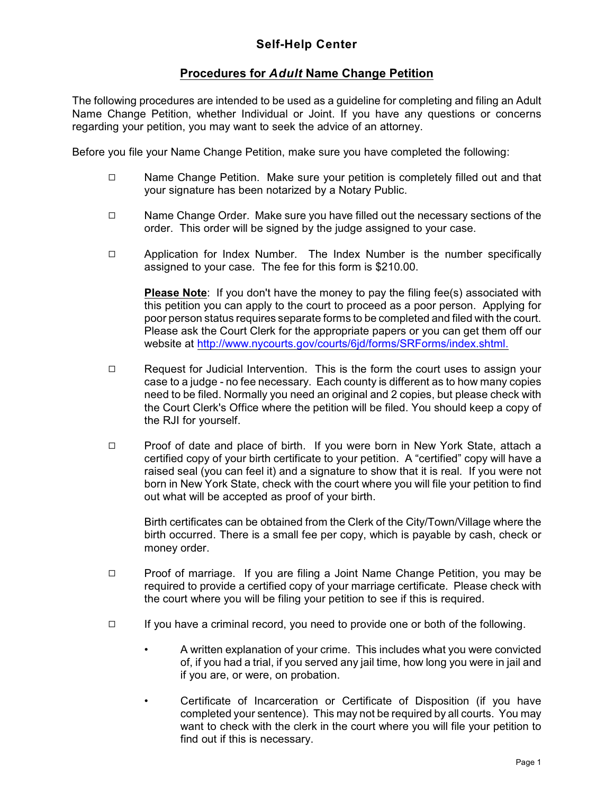## **Procedures for** *Adult* **Name Change Petition**

The following procedures are intended to be used as a guideline for completing and filing an Adult Name Change Petition, whether Individual or Joint. If you have any questions or concerns regarding your petition, you may want to seek the advice of an attorney.

Before you file your Name Change Petition, make sure you have completed the following:

- Q Name Change Petition. Make sure your petition is completely filled out and that your signature has been notarized by a Notary Public.
- $\Box$  Name Change Order. Make sure you have filled out the necessary sections of the order. This order will be signed by the judge assigned to your case.
- □ Application for Index Number. The Index Number is the number specifically assigned to your case. The fee for this form is \$210.00.

**Please Note**: If you don't have the money to pay the filing fee(s) associated with this petition you can apply to the court to proceed as a poor person. Applying for poor person status requires separate forms to be completed and filed with the court. Please ask the Court Clerk for the appropriate papers or you can get them off our website at<http://www.nycourts.gov/courts/6jd/forms/SRForms/index.shtml.>

- □ Request for Judicial Intervention. This is the form the court uses to assign your case to a judge - no fee necessary. Each county is different as to how many copies need to be filed. Normally you need an original and 2 copies, but please check with the Court Clerk's Office where the petition will be filed. You should keep a copy of the RJI for yourself.
- □ Proof of date and place of birth. If you were born in New York State, attach a certified copy of your birth certificate to your petition. A "certified" copy will have a raised seal (you can feel it) and a signature to show that it is real. If you were not born in New York State, check with the court where you will file your petition to find out what will be accepted as proof of your birth.

Birth certificates can be obtained from the Clerk of the City/Town/Village where the birth occurred. There is a small fee per copy, which is payable by cash, check or money order.

- □ Proof of marriage. If you are filing a Joint Name Change Petition, you may be required to provide a certified copy of your marriage certificate. Please check with the court where you will be filing your petition to see if this is required.
- $\Box$  If you have a criminal record, you need to provide one or both of the following.
	- A written explanation of your crime. This includes what you were convicted of, if you had a trial, if you served any jail time, how long you were in jail and if you are, or were, on probation.
	- Certificate of Incarceration or Certificate of Disposition (if you have completed your sentence). This may not be required by all courts. You may want to check with the clerk in the court where you will file your petition to find out if this is necessary.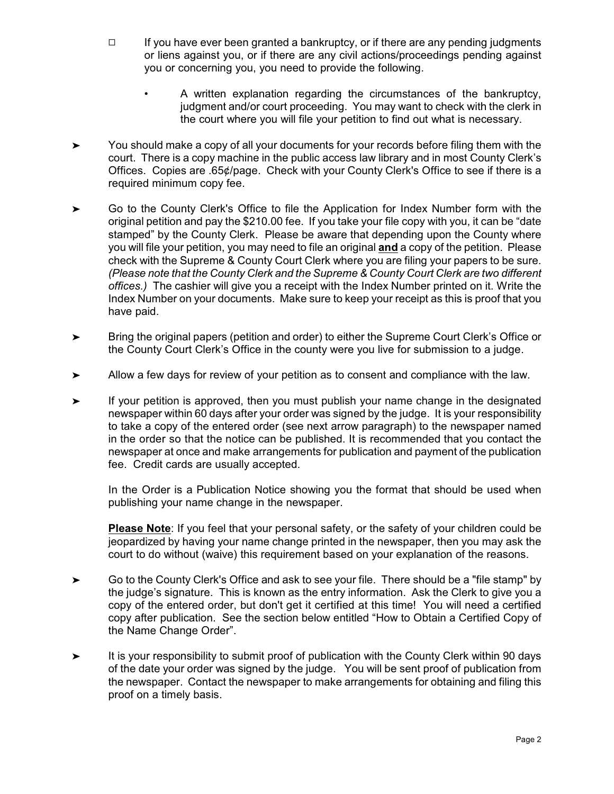- $\Box$  If you have ever been granted a bankruptcy, or if there are any pending judgments or liens against you, or if there are any civil actions/proceedings pending against you or concerning you, you need to provide the following.
	- A written explanation regarding the circumstances of the bankruptcy, judgment and/or court proceeding. You may want to check with the clerk in the court where you will file your petition to find out what is necessary.
- $\blacktriangleright$  You should make a copy of all your documents for your records before filing them with the court. There is a copy machine in the public access law library and in most County Clerk's Offices. Copies are .65¢/page. Check with your County Clerk's Office to see if there is a required minimum copy fee.
- $\blacktriangleright$  Go to the County Clerk's Office to file the Application for Index Number form with the original petition and pay the \$210.00 fee. If you take your file copy with you, it can be "date stamped" by the County Clerk. Please be aware that depending upon the County where you will file your petition, you may need to file an original **and** a copy of the petition. Please check with the Supreme & County Court Clerk where you are filing your papers to be sure. *(Please note that the County Clerk and the Supreme & County Court Clerk are two different offices.)* The cashier will give you a receipt with the Index Number printed on it. Write the Index Number on your documents. Make sure to keep your receipt as this is proof that you have paid.
- $\blacktriangleright$  Bring the original papers (petition and order) to either the Supreme Court Clerk's Office or the County Court Clerk's Office in the county were you live for submission to a judge.
- $\blacktriangleright$ Allow a few days for review of your petition as to consent and compliance with the law.
- $\blacktriangleright$  If your petition is approved, then you must publish your name change in the designated newspaper within 60 days after your order was signed by the judge. It is your responsibility to take a copy of the entered order (see next arrow paragraph) to the newspaper named in the order so that the notice can be published. It is recommended that you contact the newspaper at once and make arrangements for publication and payment of the publication fee. Credit cards are usually accepted.

In the Order is a Publication Notice showing you the format that should be used when publishing your name change in the newspaper.

**Please Note**: If you feel that your personal safety, or the safety of your children could be jeopardized by having your name change printed in the newspaper, then you may ask the court to do without (waive) this requirement based on your explanation of the reasons.

- $\blacktriangleright$  Go to the County Clerk's Office and ask to see your file. There should be a "file stamp" by the judge's signature. This is known as the entry information. Ask the Clerk to give you a copy of the entered order, but don't get it certified at this time! You will need a certified copy after publication. See the section below entitled "How to Obtain a Certified Copy of the Name Change Order".
- $\blacktriangleright$  It is your responsibility to submit proof of publication with the County Clerk within 90 days of the date your order was signed by the judge. You will be sent proof of publication from the newspaper. Contact the newspaper to make arrangements for obtaining and filing this proof on a timely basis.